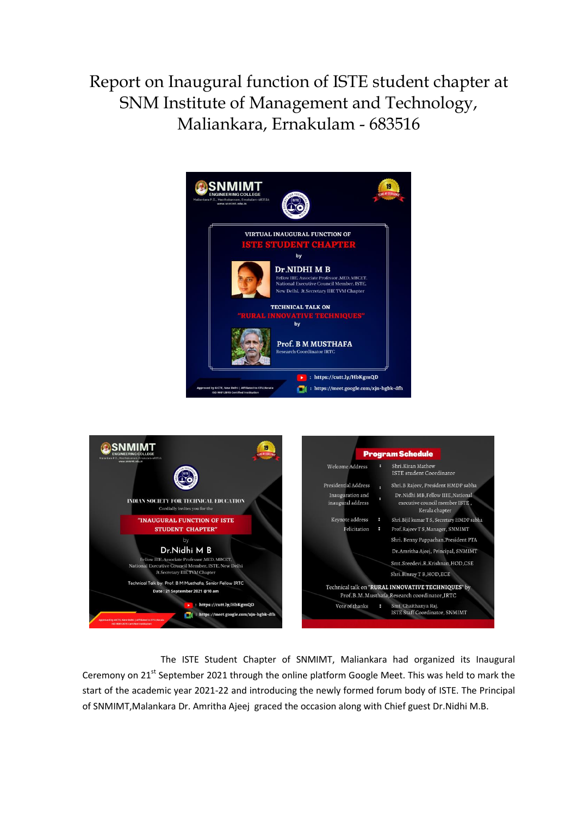Report on Inaugural function of ISTE student chapter at SNM Institute of Management and Technology, Maliankara, Ernakulam - 683516





 The ISTE Student Chapter of SNMIMT, Maliankara had organized its Inaugural Ceremony on 21<sup>st</sup> September 2021 through the online platform Google Meet. This was held to mark the start of the academic year 2021-22 and introducing the newly formed forum body of ISTE. The Principal of SNMIMT,Malankara Dr. Amritha Ajeej graced the occasion along with Chief guest Dr.Nidhi M.B.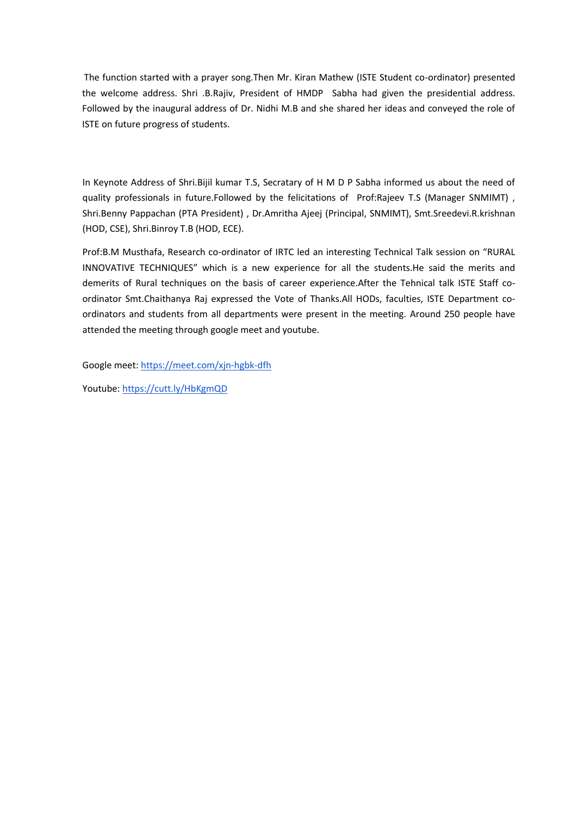The function started with a prayer song.Then Mr. Kiran Mathew (ISTE Student co-ordinator) presented the welcome address. Shri .B.Rajiv, President of HMDP Sabha had given the presidential address. Followed by the inaugural address of Dr. Nidhi M.B and she shared her ideas and conveyed the role of ISTE on future progress of students.

In Keynote Address of Shri.Bijil kumar T.S, Secratary of H M D P Sabha informed us about the need of quality professionals in future.Followed by the felicitations of Prof:Rajeev T.S (Manager SNMIMT) , Shri.Benny Pappachan (PTA President) , Dr.Amritha Ajeej (Principal, SNMIMT), Smt.Sreedevi.R.krishnan (HOD, CSE), Shri.Binroy T.B (HOD, ECE).

Prof:B.M Musthafa, Research co-ordinator of IRTC led an interesting Technical Talk session on "RURAL INNOVATIVE TECHNIQUES" which is a new experience for all the students.He said the merits and demerits of Rural techniques on the basis of career experience.After the Tehnical talk ISTE Staff coordinator Smt.Chaithanya Raj expressed the Vote of Thanks.All HODs, faculties, ISTE Department coordinators and students from all departments were present in the meeting. Around 250 people have attended the meeting through google meet and youtube.

Google meet[: https://meet.com/xjn-hgbk-dfh](https://meet.com/xjn-hgbk-dfh) 

Youtube:<https://cutt.ly/HbKgmQD>